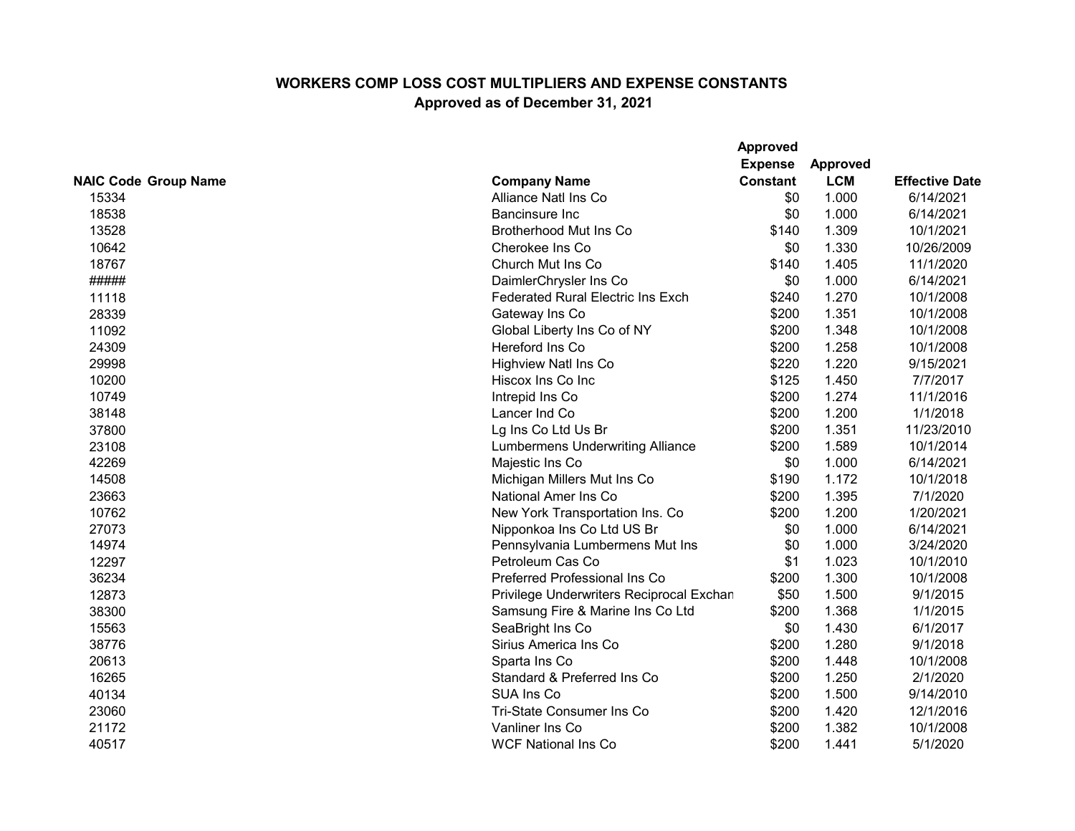|                             |                                          | <b>Approved</b> |                 |                       |
|-----------------------------|------------------------------------------|-----------------|-----------------|-----------------------|
|                             | <b>Expense</b>                           |                 | <b>Approved</b> |                       |
| <b>NAIC Code Group Name</b> | <b>Company Name</b>                      | <b>Constant</b> | <b>LCM</b>      | <b>Effective Date</b> |
| 15334                       | Alliance Natl Ins Co                     | \$0             | 1.000           | 6/14/2021             |
| 18538                       | <b>Bancinsure Inc</b>                    | \$0             | 1.000           | 6/14/2021             |
| 13528                       | Brotherhood Mut Ins Co                   | \$140           | 1.309           | 10/1/2021             |
| 10642                       | Cherokee Ins Co                          | \$0             | 1.330           | 10/26/2009            |
| 18767                       | Church Mut Ins Co                        | \$140           | 1.405           | 11/1/2020             |
| #####                       | DaimlerChrysler Ins Co                   | \$0             | 1.000           | 6/14/2021             |
| 11118                       | <b>Federated Rural Electric Ins Exch</b> | \$240           | 1.270           | 10/1/2008             |
| 28339                       | Gateway Ins Co                           | \$200           | 1.351           | 10/1/2008             |
| 11092                       | Global Liberty Ins Co of NY              | \$200           | 1.348           | 10/1/2008             |
| 24309                       | Hereford Ins Co                          | \$200           | 1.258           | 10/1/2008             |
| 29998                       | <b>Highview Natl Ins Co</b>              | \$220           | 1.220           | 9/15/2021             |
| 10200                       | Hiscox Ins Co Inc                        | \$125           | 1.450           | 7/7/2017              |
| 10749                       | Intrepid Ins Co                          | \$200           | 1.274           | 11/1/2016             |
| 38148                       | Lancer Ind Co                            | \$200           | 1.200           | 1/1/2018              |
| 37800                       | Lg Ins Co Ltd Us Br                      | \$200           | 1.351           | 11/23/2010            |
| 23108                       | <b>Lumbermens Underwriting Alliance</b>  | \$200           | 1.589           | 10/1/2014             |
| 42269                       | Majestic Ins Co                          | \$0             | 1.000           | 6/14/2021             |
| 14508                       | Michigan Millers Mut Ins Co              | \$190           | 1.172           | 10/1/2018             |
| 23663                       | National Amer Ins Co                     | \$200           | 1.395           | 7/1/2020              |
| 10762                       | New York Transportation Ins. Co          | \$200           | 1.200           | 1/20/2021             |
| 27073                       | Nipponkoa Ins Co Ltd US Br               | \$0             | 1.000           | 6/14/2021             |
| 14974                       | Pennsylvania Lumbermens Mut Ins          | \$0             | 1.000           | 3/24/2020             |
| 12297                       | Petroleum Cas Co                         | \$1             | 1.023           | 10/1/2010             |
| 36234                       | Preferred Professional Ins Co            | \$200           | 1.300           | 10/1/2008             |
| 12873                       | Privilege Underwriters Reciprocal Exchan | \$50            | 1.500           | 9/1/2015              |
| 38300                       | Samsung Fire & Marine Ins Co Ltd         | \$200           | 1.368           | 1/1/2015              |
| 15563                       | SeaBright Ins Co                         | \$0             | 1.430           | 6/1/2017              |
| 38776                       | Sirius America Ins Co                    | \$200           | 1.280           | 9/1/2018              |
| 20613                       | Sparta Ins Co                            | \$200           | 1.448           | 10/1/2008             |
| 16265                       | Standard & Preferred Ins Co              | \$200           | 1.250           | 2/1/2020              |
| 40134                       | SUA Ins Co                               | \$200           | 1.500           | 9/14/2010             |
| 23060                       | Tri-State Consumer Ins Co                | \$200           | 1.420           | 12/1/2016             |
| 21172                       | Vanliner Ins Co                          | \$200           | 1.382           | 10/1/2008             |
| 40517                       | <b>WCF National Ins Co</b>               | \$200           | 1.441           | 5/1/2020              |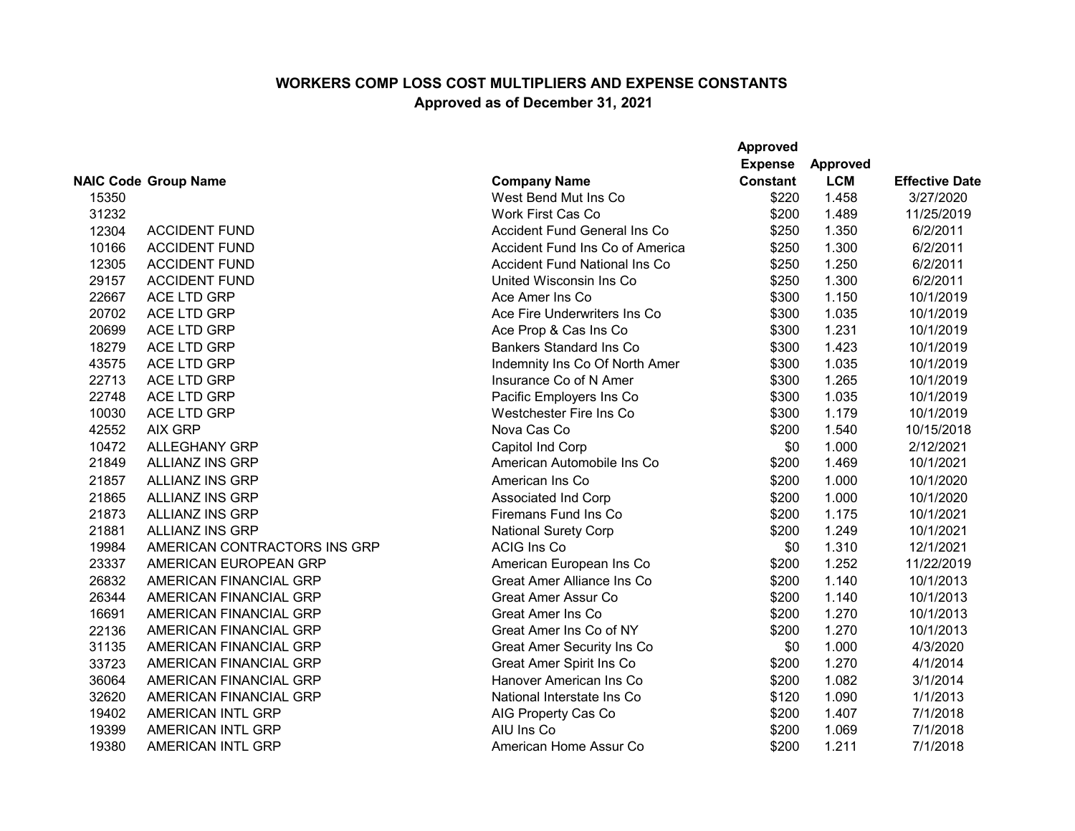|       |                              |                                      | <b>Approved</b><br><b>Expense</b> | <b>Approved</b> |                       |
|-------|------------------------------|--------------------------------------|-----------------------------------|-----------------|-----------------------|
|       | <b>NAIC Code Group Name</b>  | <b>Company Name</b>                  | <b>Constant</b>                   | <b>LCM</b>      | <b>Effective Date</b> |
| 15350 |                              | West Bend Mut Ins Co                 | \$220                             | 1.458           | 3/27/2020             |
| 31232 |                              | <b>Work First Cas Co</b>             | \$200                             | 1.489           | 11/25/2019            |
| 12304 | <b>ACCIDENT FUND</b>         | <b>Accident Fund General Ins Co</b>  | \$250                             | 1.350           | 6/2/2011              |
| 10166 | <b>ACCIDENT FUND</b>         | Accident Fund Ins Co of America      | \$250                             | 1.300           | 6/2/2011              |
| 12305 | <b>ACCIDENT FUND</b>         | <b>Accident Fund National Ins Co</b> | \$250                             | 1.250           | 6/2/2011              |
| 29157 | <b>ACCIDENT FUND</b>         | United Wisconsin Ins Co              | \$250                             | 1.300           | 6/2/2011              |
| 22667 | <b>ACE LTD GRP</b>           | Ace Amer Ins Co                      | \$300                             | 1.150           | 10/1/2019             |
| 20702 | ACE LTD GRP                  | Ace Fire Underwriters Ins Co         | \$300                             | 1.035           | 10/1/2019             |
| 20699 | <b>ACE LTD GRP</b>           | Ace Prop & Cas Ins Co                | \$300                             | 1.231           | 10/1/2019             |
| 18279 | <b>ACE LTD GRP</b>           | <b>Bankers Standard Ins Co</b>       | \$300                             | 1.423           | 10/1/2019             |
| 43575 | <b>ACE LTD GRP</b>           | Indemnity Ins Co Of North Amer       | \$300                             | 1.035           | 10/1/2019             |
| 22713 | <b>ACE LTD GRP</b>           | Insurance Co of N Amer               | \$300                             | 1.265           | 10/1/2019             |
| 22748 | ACE LTD GRP                  | Pacific Employers Ins Co             | \$300                             | 1.035           | 10/1/2019             |
| 10030 | <b>ACE LTD GRP</b>           | Westchester Fire Ins Co              | \$300                             | 1.179           | 10/1/2019             |
| 42552 | <b>AIX GRP</b>               | Nova Cas Co                          | \$200                             | 1.540           | 10/15/2018            |
| 10472 | <b>ALLEGHANY GRP</b>         | Capitol Ind Corp                     | \$0                               | 1.000           | 2/12/2021             |
| 21849 | <b>ALLIANZ INS GRP</b>       | American Automobile Ins Co           | \$200                             | 1.469           | 10/1/2021             |
| 21857 | <b>ALLIANZ INS GRP</b>       | American Ins Co                      | \$200                             | 1.000           | 10/1/2020             |
| 21865 | <b>ALLIANZ INS GRP</b>       | Associated Ind Corp                  | \$200                             | 1.000           | 10/1/2020             |
| 21873 | <b>ALLIANZ INS GRP</b>       | Firemans Fund Ins Co                 | \$200                             | 1.175           | 10/1/2021             |
| 21881 | <b>ALLIANZ INS GRP</b>       | <b>National Surety Corp</b>          | \$200                             | 1.249           | 10/1/2021             |
| 19984 | AMERICAN CONTRACTORS INS GRP | <b>ACIG Ins Co</b>                   | \$0                               | 1.310           | 12/1/2021             |
| 23337 | AMERICAN EUROPEAN GRP        | American European Ins Co             | \$200                             | 1.252           | 11/22/2019            |
| 26832 | AMERICAN FINANCIAL GRP       | <b>Great Amer Alliance Ins Co</b>    | \$200                             | 1.140           | 10/1/2013             |
| 26344 | AMERICAN FINANCIAL GRP       | <b>Great Amer Assur Co</b>           | \$200                             | 1.140           | 10/1/2013             |
| 16691 | AMERICAN FINANCIAL GRP       | <b>Great Amer Ins Co</b>             | \$200                             | 1.270           | 10/1/2013             |
| 22136 | AMERICAN FINANCIAL GRP       | Great Amer Ins Co of NY              | \$200                             | 1.270           | 10/1/2013             |
| 31135 | AMERICAN FINANCIAL GRP       | <b>Great Amer Security Ins Co</b>    | \$0                               | 1.000           | 4/3/2020              |
| 33723 | AMERICAN FINANCIAL GRP       | Great Amer Spirit Ins Co             | \$200                             | 1.270           | 4/1/2014              |
| 36064 | AMERICAN FINANCIAL GRP       | Hanover American Ins Co              | \$200                             | 1.082           | 3/1/2014              |
| 32620 | AMERICAN FINANCIAL GRP       | National Interstate Ins Co           | \$120                             | 1.090           | 1/1/2013              |
| 19402 | AMERICAN INTL GRP            | AIG Property Cas Co                  | \$200                             | 1.407           | 7/1/2018              |
| 19399 | AMERICAN INTL GRP            | AIU Ins Co                           | \$200                             | 1.069           | 7/1/2018              |
| 19380 | <b>AMERICAN INTL GRP</b>     | American Home Assur Co               | \$200                             | 1.211           | 7/1/2018              |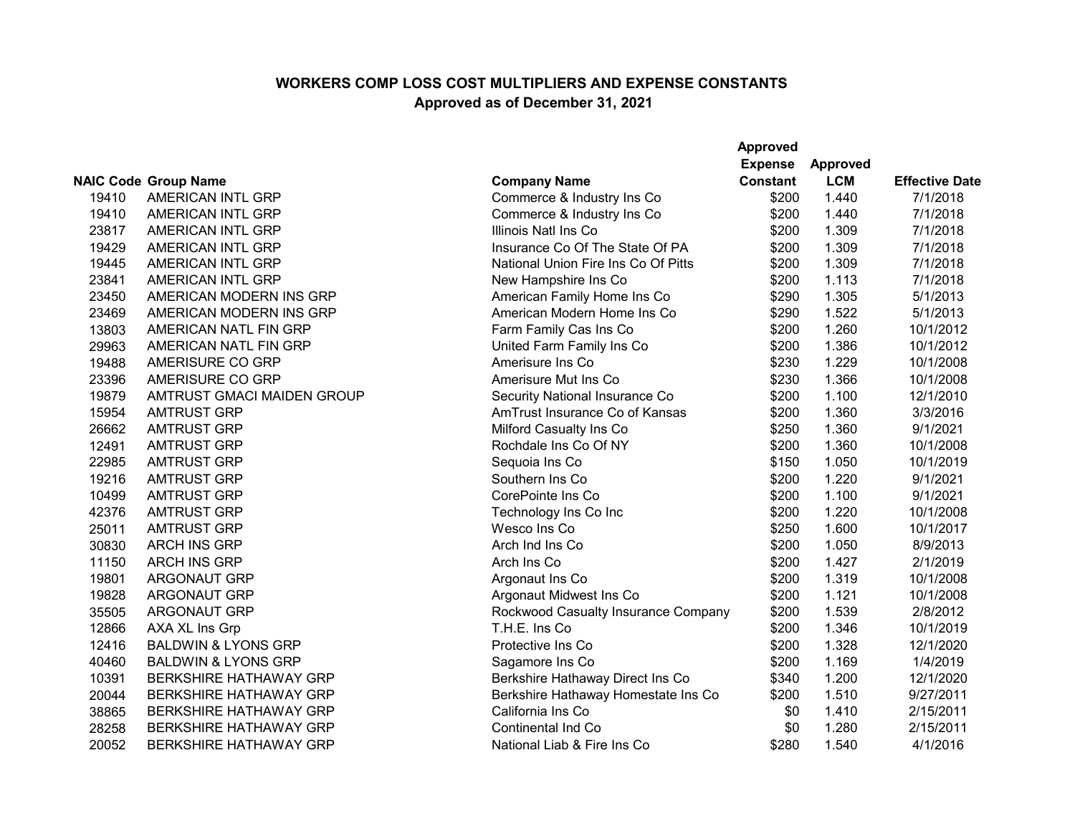|       |                                |                                     | <b>Approved</b> |                 |                       |
|-------|--------------------------------|-------------------------------------|-----------------|-----------------|-----------------------|
|       |                                |                                     | <b>Expense</b>  | <b>Approved</b> |                       |
|       | <b>NAIC Code Group Name</b>    | <b>Company Name</b>                 | <b>Constant</b> | <b>LCM</b>      | <b>Effective Date</b> |
| 19410 | AMERICAN INTL GRP              | Commerce & Industry Ins Co          | \$200           | 1.440           | 7/1/2018              |
| 19410 | AMERICAN INTL GRP              | Commerce & Industry Ins Co          | \$200           | 1.440           | 7/1/2018              |
| 23817 | <b>AMERICAN INTL GRP</b>       | Illinois Natl Ins Co                | \$200           | 1.309           | 7/1/2018              |
| 19429 | AMERICAN INTL GRP              | Insurance Co Of The State Of PA     | \$200           | 1.309           | 7/1/2018              |
| 19445 | AMERICAN INTL GRP              | National Union Fire Ins Co Of Pitts | \$200           | 1.309           | 7/1/2018              |
| 23841 | AMERICAN INTL GRP              | New Hampshire Ins Co                | \$200           | 1.113           | 7/1/2018              |
| 23450 | AMERICAN MODERN INS GRP        | American Family Home Ins Co         | \$290           | 1.305           | 5/1/2013              |
| 23469 | AMERICAN MODERN INS GRP        | American Modern Home Ins Co         | \$290           | 1.522           | 5/1/2013              |
| 13803 | AMERICAN NATL FIN GRP          | Farm Family Cas Ins Co              | \$200           | 1.260           | 10/1/2012             |
| 29963 | AMERICAN NATL FIN GRP          | United Farm Family Ins Co           | \$200           | 1.386           | 10/1/2012             |
| 19488 | AMERISURE CO GRP               | Amerisure Ins Co                    | \$230           | 1.229           | 10/1/2008             |
| 23396 | AMERISURE CO GRP               | Amerisure Mut Ins Co                | \$230           | 1.366           | 10/1/2008             |
| 19879 | AMTRUST GMACI MAIDEN GROUP     | Security National Insurance Co      | \$200           | 1.100           | 12/1/2010             |
| 15954 | <b>AMTRUST GRP</b>             | AmTrust Insurance Co of Kansas      | \$200           | 1.360           | 3/3/2016              |
| 26662 | <b>AMTRUST GRP</b>             | Milford Casualty Ins Co             | \$250           | 1.360           | 9/1/2021              |
| 12491 | <b>AMTRUST GRP</b>             | Rochdale Ins Co Of NY               | \$200           | 1.360           | 10/1/2008             |
| 22985 | <b>AMTRUST GRP</b>             | Sequoia Ins Co                      | \$150           | 1.050           | 10/1/2019             |
| 19216 | <b>AMTRUST GRP</b>             | Southern Ins Co                     | \$200           | 1.220           | 9/1/2021              |
| 10499 | <b>AMTRUST GRP</b>             | CorePointe Ins Co                   | \$200           | 1.100           | 9/1/2021              |
| 42376 | <b>AMTRUST GRP</b>             | Technology Ins Co Inc               | \$200           | 1.220           | 10/1/2008             |
| 25011 | <b>AMTRUST GRP</b>             | Wesco Ins Co                        | \$250           | 1.600           | 10/1/2017             |
| 30830 | <b>ARCH INS GRP</b>            | Arch Ind Ins Co                     | \$200           | 1.050           | 8/9/2013              |
| 11150 | <b>ARCH INS GRP</b>            | Arch Ins Co                         | \$200           | 1.427           | 2/1/2019              |
| 19801 | <b>ARGONAUT GRP</b>            | Argonaut Ins Co                     | \$200           | 1.319           | 10/1/2008             |
| 19828 | <b>ARGONAUT GRP</b>            | Argonaut Midwest Ins Co             | \$200           | 1.121           | 10/1/2008             |
| 35505 | <b>ARGONAUT GRP</b>            | Rockwood Casualty Insurance Company | \$200           | 1.539           | 2/8/2012              |
| 12866 | AXA XL Ins Grp                 | T.H.E. Ins Co                       | \$200           | 1.346           | 10/1/2019             |
| 12416 | <b>BALDWIN &amp; LYONS GRP</b> | Protective Ins Co                   | \$200           | 1.328           | 12/1/2020             |
| 40460 | <b>BALDWIN &amp; LYONS GRP</b> | Sagamore Ins Co                     | \$200           | 1.169           | 1/4/2019              |
| 10391 | <b>BERKSHIRE HATHAWAY GRP</b>  | Berkshire Hathaway Direct Ins Co    | \$340           | 1.200           | 12/1/2020             |
| 20044 | <b>BERKSHIRE HATHAWAY GRP</b>  | Berkshire Hathaway Homestate Ins Co | \$200           | 1.510           | 9/27/2011             |
| 38865 | <b>BERKSHIRE HATHAWAY GRP</b>  | California Ins Co                   | \$0             | 1.410           | 2/15/2011             |
| 28258 | <b>BERKSHIRE HATHAWAY GRP</b>  | <b>Continental Ind Co</b>           | \$0             | 1.280           | 2/15/2011             |
| 20052 | <b>BERKSHIRE HATHAWAY GRP</b>  | National Liab & Fire Ins Co         | \$280           | 1.540           | 4/1/2016              |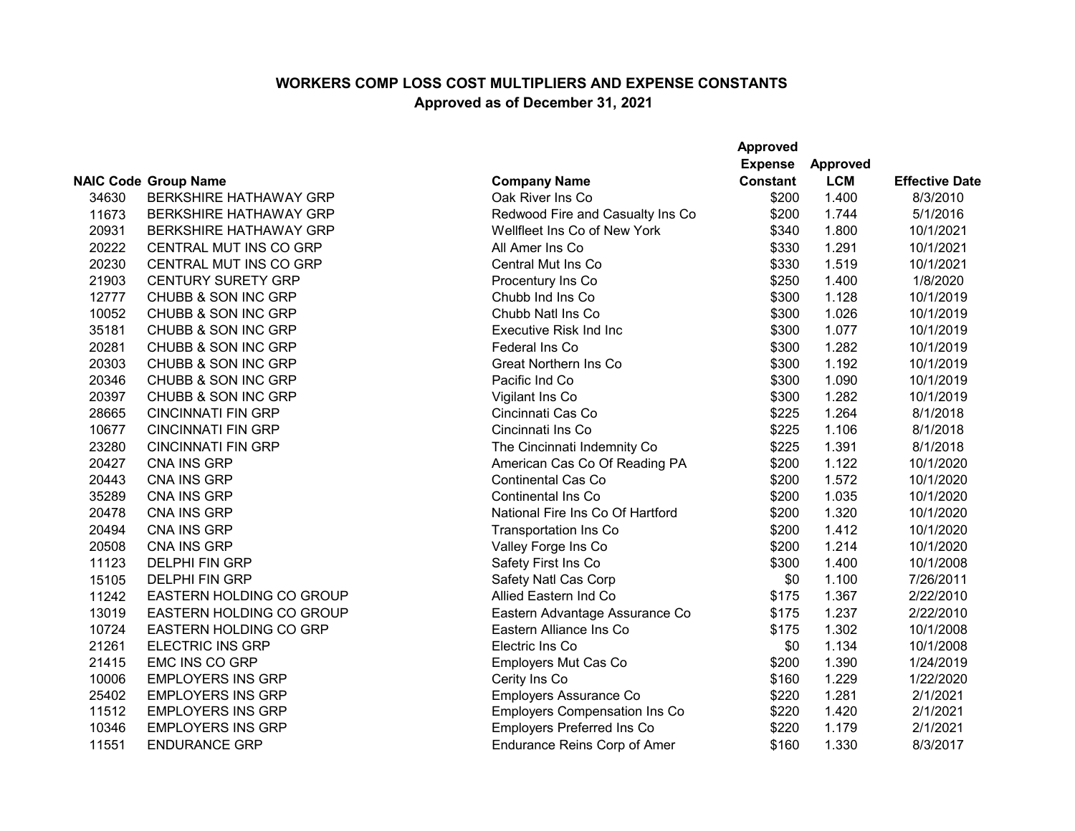|       |                               |                                      | <b>Approved</b> |                 |                       |
|-------|-------------------------------|--------------------------------------|-----------------|-----------------|-----------------------|
|       |                               |                                      | <b>Expense</b>  | <b>Approved</b> |                       |
|       | <b>NAIC Code Group Name</b>   | <b>Company Name</b>                  | <b>Constant</b> | <b>LCM</b>      | <b>Effective Date</b> |
| 34630 | <b>BERKSHIRE HATHAWAY GRP</b> | Oak River Ins Co                     | \$200           | 1.400           | 8/3/2010              |
| 11673 | <b>BERKSHIRE HATHAWAY GRP</b> | Redwood Fire and Casualty Ins Co     | \$200           | 1.744           | 5/1/2016              |
| 20931 | <b>BERKSHIRE HATHAWAY GRP</b> | Wellfleet Ins Co of New York         | \$340           | 1.800           | 10/1/2021             |
| 20222 | CENTRAL MUT INS CO GRP        | All Amer Ins Co                      | \$330           | 1.291           | 10/1/2021             |
| 20230 | CENTRAL MUT INS CO GRP        | Central Mut Ins Co                   | \$330           | 1.519           | 10/1/2021             |
| 21903 | <b>CENTURY SURETY GRP</b>     | Procentury Ins Co                    | \$250           | 1.400           | 1/8/2020              |
| 12777 | CHUBB & SON INC GRP           | Chubb Ind Ins Co                     | \$300           | 1.128           | 10/1/2019             |
| 10052 | CHUBB & SON INC GRP           | Chubb Natl Ins Co                    | \$300           | 1.026           | 10/1/2019             |
| 35181 | CHUBB & SON INC GRP           | <b>Executive Risk Ind Inc</b>        | \$300           | 1.077           | 10/1/2019             |
| 20281 | CHUBB & SON INC GRP           | Federal Ins Co                       | \$300           | 1.282           | 10/1/2019             |
| 20303 | CHUBB & SON INC GRP           | Great Northern Ins Co                | \$300           | 1.192           | 10/1/2019             |
| 20346 | CHUBB & SON INC GRP           | Pacific Ind Co                       | \$300           | 1.090           | 10/1/2019             |
| 20397 | CHUBB & SON INC GRP           | Vigilant Ins Co                      | \$300           | 1.282           | 10/1/2019             |
| 28665 | <b>CINCINNATI FIN GRP</b>     | Cincinnati Cas Co                    | \$225           | 1.264           | 8/1/2018              |
| 10677 | <b>CINCINNATI FIN GRP</b>     | Cincinnati Ins Co                    | \$225           | 1.106           | 8/1/2018              |
| 23280 | <b>CINCINNATI FIN GRP</b>     | The Cincinnati Indemnity Co          | \$225           | 1.391           | 8/1/2018              |
| 20427 | <b>CNA INS GRP</b>            | American Cas Co Of Reading PA        | \$200           | 1.122           | 10/1/2020             |
| 20443 | CNA INS GRP                   | <b>Continental Cas Co</b>            | \$200           | 1.572           | 10/1/2020             |
| 35289 | CNA INS GRP                   | <b>Continental Ins Co</b>            | \$200           | 1.035           | 10/1/2020             |
| 20478 | <b>CNA INS GRP</b>            | National Fire Ins Co Of Hartford     | \$200           | 1.320           | 10/1/2020             |
| 20494 | <b>CNA INS GRP</b>            | <b>Transportation Ins Co</b>         | \$200           | 1.412           | 10/1/2020             |
| 20508 | <b>CNA INS GRP</b>            | Valley Forge Ins Co                  | \$200           | 1.214           | 10/1/2020             |
| 11123 | <b>DELPHI FIN GRP</b>         | Safety First Ins Co                  | \$300           | 1.400           | 10/1/2008             |
| 15105 | <b>DELPHI FIN GRP</b>         | Safety Natl Cas Corp                 | \$0             | 1.100           | 7/26/2011             |
| 11242 | EASTERN HOLDING CO GROUP      | Allied Eastern Ind Co                | \$175           | 1.367           | 2/22/2010             |
| 13019 | EASTERN HOLDING CO GROUP      | Eastern Advantage Assurance Co       | \$175           | 1.237           | 2/22/2010             |
| 10724 | <b>EASTERN HOLDING CO GRP</b> | Eastern Alliance Ins Co              | \$175           | 1.302           | 10/1/2008             |
| 21261 | <b>ELECTRIC INS GRP</b>       | Electric Ins Co                      | \$0             | 1.134           | 10/1/2008             |
| 21415 | EMC INS CO GRP                | Employers Mut Cas Co                 | \$200           | 1.390           | 1/24/2019             |
| 10006 | <b>EMPLOYERS INS GRP</b>      | Cerity Ins Co                        | \$160           | 1.229           | 1/22/2020             |
| 25402 | <b>EMPLOYERS INS GRP</b>      | Employers Assurance Co               | \$220           | 1.281           | 2/1/2021              |
| 11512 | <b>EMPLOYERS INS GRP</b>      | <b>Employers Compensation Ins Co</b> | \$220           | 1.420           | 2/1/2021              |
| 10346 | <b>EMPLOYERS INS GRP</b>      | <b>Employers Preferred Ins Co</b>    | \$220           | 1.179           | 2/1/2021              |
| 11551 | <b>ENDURANCE GRP</b>          | Endurance Reins Corp of Amer         | \$160           | 1.330           | 8/3/2017              |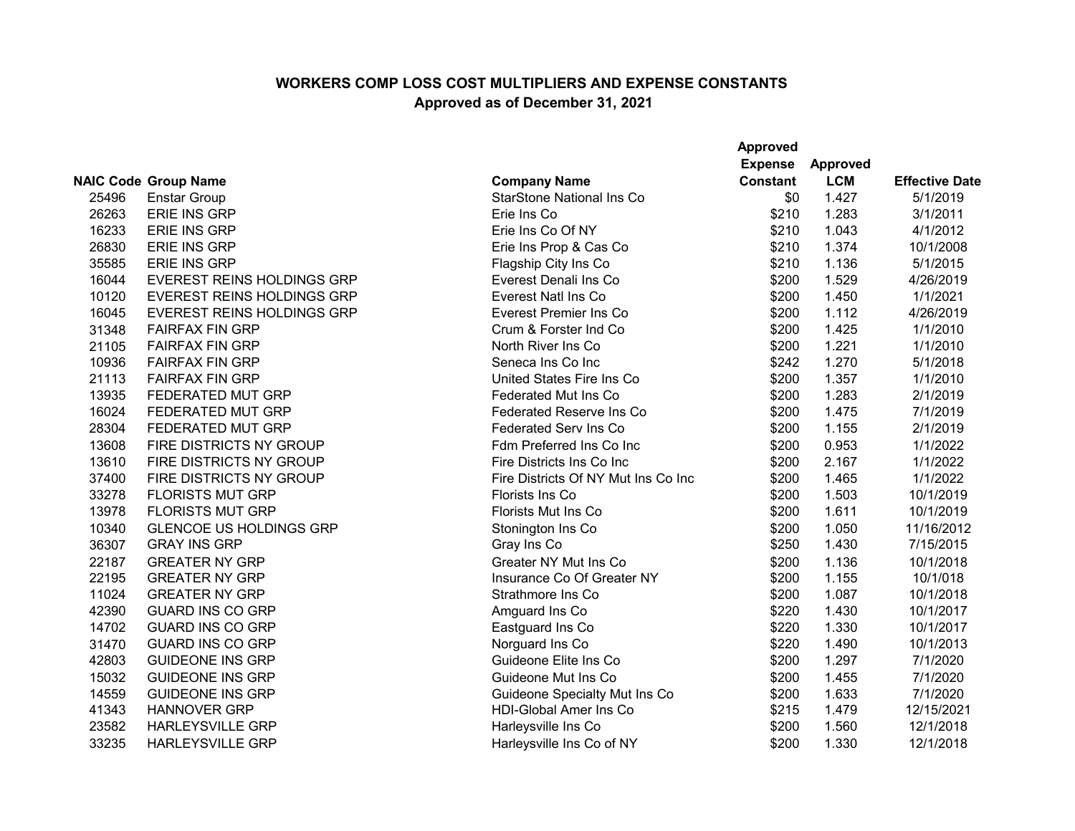|       |                                   |                                     | <b>Approved</b> |                 |                       |
|-------|-----------------------------------|-------------------------------------|-----------------|-----------------|-----------------------|
|       |                                   |                                     | <b>Expense</b>  | <b>Approved</b> |                       |
|       | <b>NAIC Code Group Name</b>       | <b>Company Name</b>                 | <b>Constant</b> | <b>LCM</b>      | <b>Effective Date</b> |
| 25496 | <b>Enstar Group</b>               | <b>StarStone National Ins Co</b>    | \$0             | 1.427           | 5/1/2019              |
| 26263 | <b>ERIE INS GRP</b>               | Erie Ins Co                         | \$210           | 1.283           | 3/1/2011              |
| 16233 | <b>ERIE INS GRP</b>               | Erie Ins Co Of NY                   | \$210           | 1.043           | 4/1/2012              |
| 26830 | <b>ERIE INS GRP</b>               | Erie Ins Prop & Cas Co              | \$210           | 1.374           | 10/1/2008             |
| 35585 | <b>ERIE INS GRP</b>               | Flagship City Ins Co                | \$210           | 1.136           | 5/1/2015              |
| 16044 | <b>EVEREST REINS HOLDINGS GRP</b> | Everest Denali Ins Co               | \$200           | 1.529           | 4/26/2019             |
| 10120 | <b>EVEREST REINS HOLDINGS GRP</b> | <b>Everest Natl Ins Co</b>          | \$200           | 1.450           | 1/1/2021              |
| 16045 | EVEREST REINS HOLDINGS GRP        | Everest Premier Ins Co              | \$200           | 1.112           | 4/26/2019             |
| 31348 | <b>FAIRFAX FIN GRP</b>            | Crum & Forster Ind Co               | \$200           | 1.425           | 1/1/2010              |
| 21105 | <b>FAIRFAX FIN GRP</b>            | North River Ins Co                  | \$200           | 1.221           | 1/1/2010              |
| 10936 | <b>FAIRFAX FIN GRP</b>            | Seneca Ins Co Inc                   | \$242           | 1.270           | 5/1/2018              |
| 21113 | <b>FAIRFAX FIN GRP</b>            | United States Fire Ins Co           | \$200           | 1.357           | 1/1/2010              |
| 13935 | FEDERATED MUT GRP                 | <b>Federated Mut Ins Co</b>         | \$200           | 1.283           | 2/1/2019              |
| 16024 | FEDERATED MUT GRP                 | <b>Federated Reserve Ins Co</b>     | \$200           | 1.475           | 7/1/2019              |
| 28304 | <b>FEDERATED MUT GRP</b>          | <b>Federated Serv Ins Co</b>        | \$200           | 1.155           | 2/1/2019              |
| 13608 | FIRE DISTRICTS NY GROUP           | Fdm Preferred Ins Co Inc            | \$200           | 0.953           | 1/1/2022              |
| 13610 | FIRE DISTRICTS NY GROUP           | Fire Districts Ins Co Inc           | \$200           | 2.167           | 1/1/2022              |
| 37400 | FIRE DISTRICTS NY GROUP           | Fire Districts Of NY Mut Ins Co Inc | \$200           | 1.465           | 1/1/2022              |
| 33278 | <b>FLORISTS MUT GRP</b>           | Florists Ins Co                     | \$200           | 1.503           | 10/1/2019             |
| 13978 | <b>FLORISTS MUT GRP</b>           | Florists Mut Ins Co                 | \$200           | 1.611           | 10/1/2019             |
| 10340 | <b>GLENCOE US HOLDINGS GRP</b>    | Stonington Ins Co                   | \$200           | 1.050           | 11/16/2012            |
| 36307 | <b>GRAY INS GRP</b>               | Gray Ins Co                         | \$250           | 1.430           | 7/15/2015             |
| 22187 | <b>GREATER NY GRP</b>             | Greater NY Mut Ins Co               | \$200           | 1.136           | 10/1/2018             |
| 22195 | <b>GREATER NY GRP</b>             | Insurance Co Of Greater NY          | \$200           | 1.155           | 10/1/018              |
| 11024 | <b>GREATER NY GRP</b>             | Strathmore Ins Co                   | \$200           | 1.087           | 10/1/2018             |
| 42390 | <b>GUARD INS CO GRP</b>           | Amguard Ins Co                      | \$220           | 1.430           | 10/1/2017             |
| 14702 | <b>GUARD INS CO GRP</b>           | Eastguard Ins Co                    | \$220           | 1.330           | 10/1/2017             |
| 31470 | <b>GUARD INS CO GRP</b>           | Norguard Ins Co                     | \$220           | 1.490           | 10/1/2013             |
| 42803 | <b>GUIDEONE INS GRP</b>           | Guideone Elite Ins Co               | \$200           | 1.297           | 7/1/2020              |
| 15032 | <b>GUIDEONE INS GRP</b>           | Guideone Mut Ins Co                 | \$200           | 1.455           | 7/1/2020              |
| 14559 | <b>GUIDEONE INS GRP</b>           | Guideone Specialty Mut Ins Co       | \$200           | 1.633           | 7/1/2020              |
| 41343 | <b>HANNOVER GRP</b>               | <b>HDI-Global Amer Ins Co</b>       | \$215           | 1.479           | 12/15/2021            |
| 23582 | <b>HARLEYSVILLE GRP</b>           | Harleysville Ins Co                 | \$200           | 1.560           | 12/1/2018             |
| 33235 | <b>HARLEYSVILLE GRP</b>           | Harleysville Ins Co of NY           | \$200           | 1.330           | 12/1/2018             |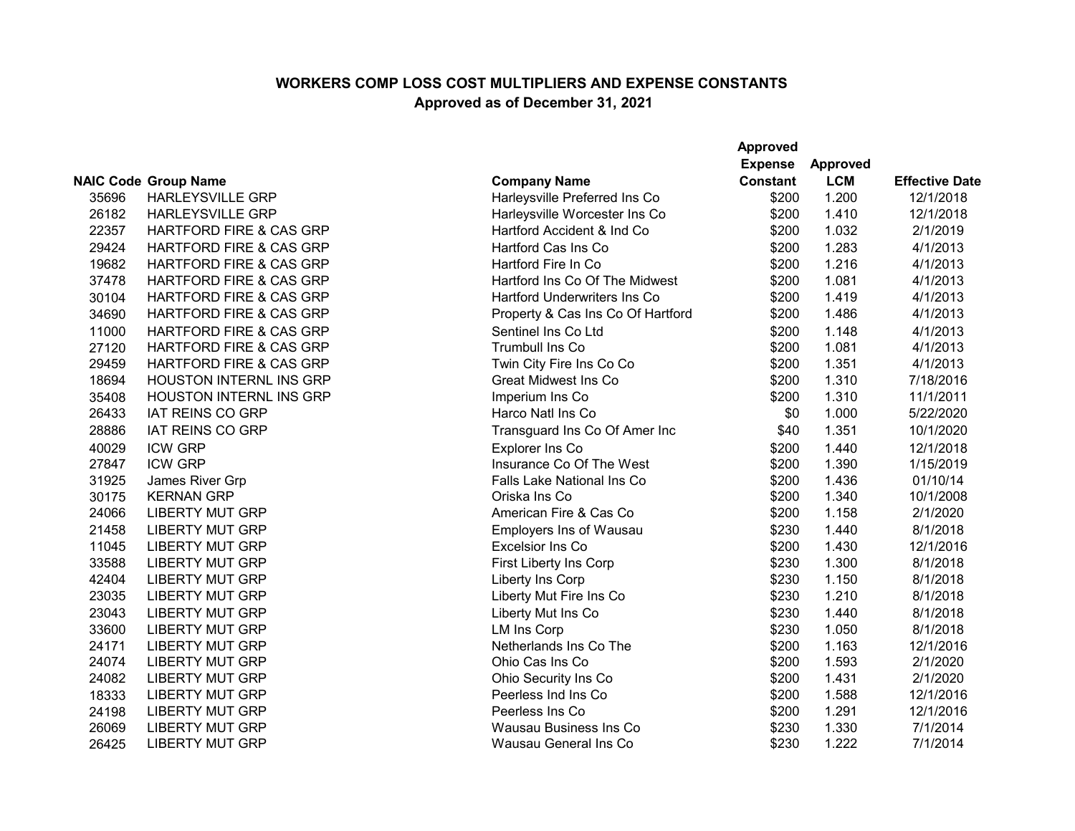|       |                                    |                                     | <b>Approved</b> |                 |                       |
|-------|------------------------------------|-------------------------------------|-----------------|-----------------|-----------------------|
|       |                                    |                                     | <b>Expense</b>  | <b>Approved</b> |                       |
|       | <b>NAIC Code Group Name</b>        | <b>Company Name</b>                 | <b>Constant</b> | <b>LCM</b>      | <b>Effective Date</b> |
| 35696 | <b>HARLEYSVILLE GRP</b>            | Harleysville Preferred Ins Co       | \$200           | 1.200           | 12/1/2018             |
| 26182 | <b>HARLEYSVILLE GRP</b>            | Harleysville Worcester Ins Co       | \$200           | 1.410           | 12/1/2018             |
| 22357 | <b>HARTFORD FIRE &amp; CAS GRP</b> | Hartford Accident & Ind Co          | \$200           | 1.032           | 2/1/2019              |
| 29424 | <b>HARTFORD FIRE &amp; CAS GRP</b> | Hartford Cas Ins Co                 | \$200           | 1.283           | 4/1/2013              |
| 19682 | <b>HARTFORD FIRE &amp; CAS GRP</b> | Hartford Fire In Co                 | \$200           | 1.216           | 4/1/2013              |
| 37478 | <b>HARTFORD FIRE &amp; CAS GRP</b> | Hartford Ins Co Of The Midwest      | \$200           | 1.081           | 4/1/2013              |
| 30104 | HARTFORD FIRE & CAS GRP            | <b>Hartford Underwriters Ins Co</b> | \$200           | 1.419           | 4/1/2013              |
| 34690 | HARTFORD FIRE & CAS GRP            | Property & Cas Ins Co Of Hartford   | \$200           | 1.486           | 4/1/2013              |
| 11000 | <b>HARTFORD FIRE &amp; CAS GRP</b> | Sentinel Ins Co Ltd                 | \$200           | 1.148           | 4/1/2013              |
| 27120 | HARTFORD FIRE & CAS GRP            | Trumbull Ins Co                     | \$200           | 1.081           | 4/1/2013              |
| 29459 | <b>HARTFORD FIRE &amp; CAS GRP</b> | Twin City Fire Ins Co Co            | \$200           | 1.351           | 4/1/2013              |
| 18694 | HOUSTON INTERNL INS GRP            | <b>Great Midwest Ins Co</b>         | \$200           | 1.310           | 7/18/2016             |
| 35408 | <b>HOUSTON INTERNL INS GRP</b>     | Imperium Ins Co                     | \$200           | 1.310           | 11/1/2011             |
| 26433 | <b>IAT REINS CO GRP</b>            | Harco Natl Ins Co                   | \$0             | 1.000           | 5/22/2020             |
| 28886 | <b>IAT REINS CO GRP</b>            | Transguard Ins Co Of Amer Inc       | \$40            | 1.351           | 10/1/2020             |
| 40029 | <b>ICW GRP</b>                     | Explorer Ins Co                     | \$200           | 1.440           | 12/1/2018             |
| 27847 | <b>ICW GRP</b>                     | Insurance Co Of The West            | \$200           | 1.390           | 1/15/2019             |
| 31925 | James River Grp                    | Falls Lake National Ins Co          | \$200           | 1.436           | 01/10/14              |
| 30175 | <b>KERNAN GRP</b>                  | Oriska Ins Co                       | \$200           | 1.340           | 10/1/2008             |
| 24066 | <b>LIBERTY MUT GRP</b>             | American Fire & Cas Co              | \$200           | 1.158           | 2/1/2020              |
| 21458 | <b>LIBERTY MUT GRP</b>             | Employers Ins of Wausau             | \$230           | 1.440           | 8/1/2018              |
| 11045 | <b>LIBERTY MUT GRP</b>             | <b>Excelsior Ins Co</b>             | \$200           | 1.430           | 12/1/2016             |
| 33588 | <b>LIBERTY MUT GRP</b>             | First Liberty Ins Corp              | \$230           | 1.300           | 8/1/2018              |
| 42404 | <b>LIBERTY MUT GRP</b>             | Liberty Ins Corp                    | \$230           | 1.150           | 8/1/2018              |
| 23035 | <b>LIBERTY MUT GRP</b>             | Liberty Mut Fire Ins Co             | \$230           | 1.210           | 8/1/2018              |
| 23043 | <b>LIBERTY MUT GRP</b>             | Liberty Mut Ins Co                  | \$230           | 1.440           | 8/1/2018              |
| 33600 | <b>LIBERTY MUT GRP</b>             | <b>LM Ins Corp</b>                  | \$230           | 1.050           | 8/1/2018              |
| 24171 | <b>LIBERTY MUT GRP</b>             | Netherlands Ins Co The              | \$200           | 1.163           | 12/1/2016             |
| 24074 | <b>LIBERTY MUT GRP</b>             | Ohio Cas Ins Co                     | \$200           | 1.593           | 2/1/2020              |
| 24082 | <b>LIBERTY MUT GRP</b>             | Ohio Security Ins Co                | \$200           | 1.431           | 2/1/2020              |
| 18333 | <b>LIBERTY MUT GRP</b>             | Peerless Ind Ins Co                 | \$200           | 1.588           | 12/1/2016             |
| 24198 | <b>LIBERTY MUT GRP</b>             | Peerless Ins Co                     | \$200           | 1.291           | 12/1/2016             |
| 26069 | <b>LIBERTY MUT GRP</b>             | Wausau Business Ins Co              | \$230           | 1.330           | 7/1/2014              |
| 26425 | <b>LIBERTY MUT GRP</b>             | Wausau General Ins Co               | \$230           | 1.222           | 7/1/2014              |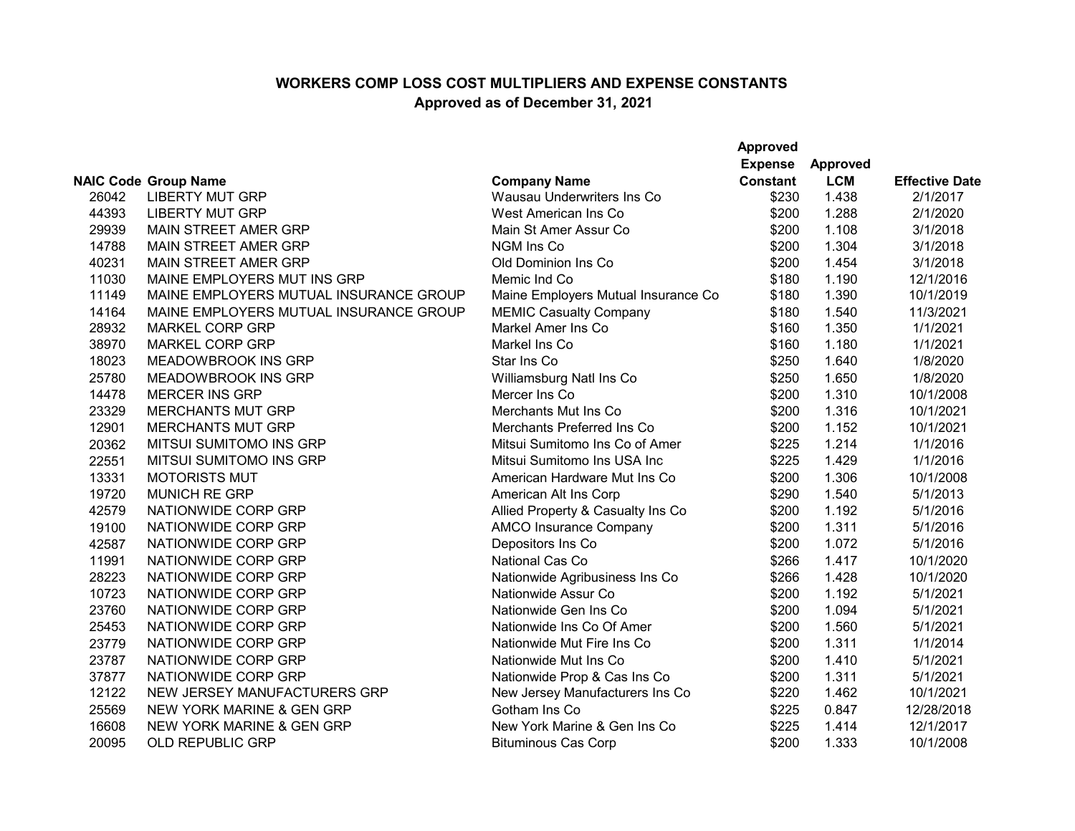|       |                                        |                                     | <b>Approved</b><br><b>Expense</b> | Approved   |                       |
|-------|----------------------------------------|-------------------------------------|-----------------------------------|------------|-----------------------|
|       | <b>NAIC Code Group Name</b>            | <b>Company Name</b>                 | <b>Constant</b>                   | <b>LCM</b> | <b>Effective Date</b> |
| 26042 | <b>LIBERTY MUT GRP</b>                 | Wausau Underwriters Ins Co          | \$230                             | 1.438      | 2/1/2017              |
| 44393 | <b>LIBERTY MUT GRP</b>                 | West American Ins Co                | \$200                             | 1.288      | 2/1/2020              |
| 29939 | MAIN STREET AMER GRP                   | Main St Amer Assur Co               | \$200                             | 1.108      | 3/1/2018              |
| 14788 | MAIN STREET AMER GRP                   | NGM Ins Co                          | \$200                             | 1.304      | 3/1/2018              |
| 40231 | <b>MAIN STREET AMER GRP</b>            | Old Dominion Ins Co                 | \$200                             | 1.454      | 3/1/2018              |
| 11030 | MAINE EMPLOYERS MUT INS GRP            | Memic Ind Co                        | \$180                             | 1.190      | 12/1/2016             |
| 11149 | MAINE EMPLOYERS MUTUAL INSURANCE GROUP | Maine Employers Mutual Insurance Co | \$180                             | 1.390      | 10/1/2019             |
| 14164 | MAINE EMPLOYERS MUTUAL INSURANCE GROUP | <b>MEMIC Casualty Company</b>       | \$180                             | 1.540      | 11/3/2021             |
| 28932 | <b>MARKEL CORP GRP</b>                 | Markel Amer Ins Co                  | \$160                             | 1.350      | 1/1/2021              |
| 38970 | <b>MARKEL CORP GRP</b>                 | Markel Ins Co                       | \$160                             | 1.180      | 1/1/2021              |
| 18023 | <b>MEADOWBROOK INS GRP</b>             | Star Ins Co                         | \$250                             | 1.640      | 1/8/2020              |
| 25780 | <b>MEADOWBROOK INS GRP</b>             | Williamsburg Natl Ins Co            | \$250                             | 1.650      | 1/8/2020              |
| 14478 | <b>MERCER INS GRP</b>                  | Mercer Ins Co                       | \$200                             | 1.310      | 10/1/2008             |
| 23329 | <b>MERCHANTS MUT GRP</b>               | Merchants Mut Ins Co                | \$200                             | 1.316      | 10/1/2021             |
| 12901 | <b>MERCHANTS MUT GRP</b>               | Merchants Preferred Ins Co          | \$200                             | 1.152      | 10/1/2021             |
| 20362 | MITSUI SUMITOMO INS GRP                | Mitsui Sumitomo Ins Co of Amer      | \$225                             | 1.214      | 1/1/2016              |
| 22551 | MITSUI SUMITOMO INS GRP                | Mitsui Sumitomo Ins USA Inc         | \$225                             | 1.429      | 1/1/2016              |
| 13331 | <b>MOTORISTS MUT</b>                   | American Hardware Mut Ins Co        | \$200                             | 1.306      | 10/1/2008             |
| 19720 | <b>MUNICH RE GRP</b>                   | American Alt Ins Corp               | \$290                             | 1.540      | 5/1/2013              |
| 42579 | NATIONWIDE CORP GRP                    | Allied Property & Casualty Ins Co   | \$200                             | 1.192      | 5/1/2016              |
| 19100 | NATIONWIDE CORP GRP                    | <b>AMCO Insurance Company</b>       | \$200                             | 1.311      | 5/1/2016              |
| 42587 | NATIONWIDE CORP GRP                    | Depositors Ins Co                   | \$200                             | 1.072      | 5/1/2016              |
| 11991 | NATIONWIDE CORP GRP                    | National Cas Co                     | \$266                             | 1.417      | 10/1/2020             |
| 28223 | NATIONWIDE CORP GRP                    | Nationwide Agribusiness Ins Co      | \$266                             | 1.428      | 10/1/2020             |
| 10723 | NATIONWIDE CORP GRP                    | Nationwide Assur Co                 | \$200                             | 1.192      | 5/1/2021              |
| 23760 | NATIONWIDE CORP GRP                    | Nationwide Gen Ins Co               | \$200                             | 1.094      | 5/1/2021              |
| 25453 | NATIONWIDE CORP GRP                    | Nationwide Ins Co Of Amer           | \$200                             | 1.560      | 5/1/2021              |
| 23779 | NATIONWIDE CORP GRP                    | Nationwide Mut Fire Ins Co          | \$200                             | 1.311      | 1/1/2014              |
| 23787 | NATIONWIDE CORP GRP                    | Nationwide Mut Ins Co               | \$200                             | 1.410      | 5/1/2021              |
| 37877 | NATIONWIDE CORP GRP                    | Nationwide Prop & Cas Ins Co        | \$200                             | 1.311      | 5/1/2021              |
| 12122 | NEW JERSEY MANUFACTURERS GRP           | New Jersey Manufacturers Ins Co     | \$220                             | 1.462      | 10/1/2021             |
| 25569 | <b>NEW YORK MARINE &amp; GEN GRP</b>   | Gotham Ins Co                       | \$225                             | 0.847      | 12/28/2018            |
| 16608 | <b>NEW YORK MARINE &amp; GEN GRP</b>   | New York Marine & Gen Ins Co        | \$225                             | 1.414      | 12/1/2017             |
| 20095 | <b>OLD REPUBLIC GRP</b>                | <b>Bituminous Cas Corp</b>          | \$200                             | 1.333      | 10/1/2008             |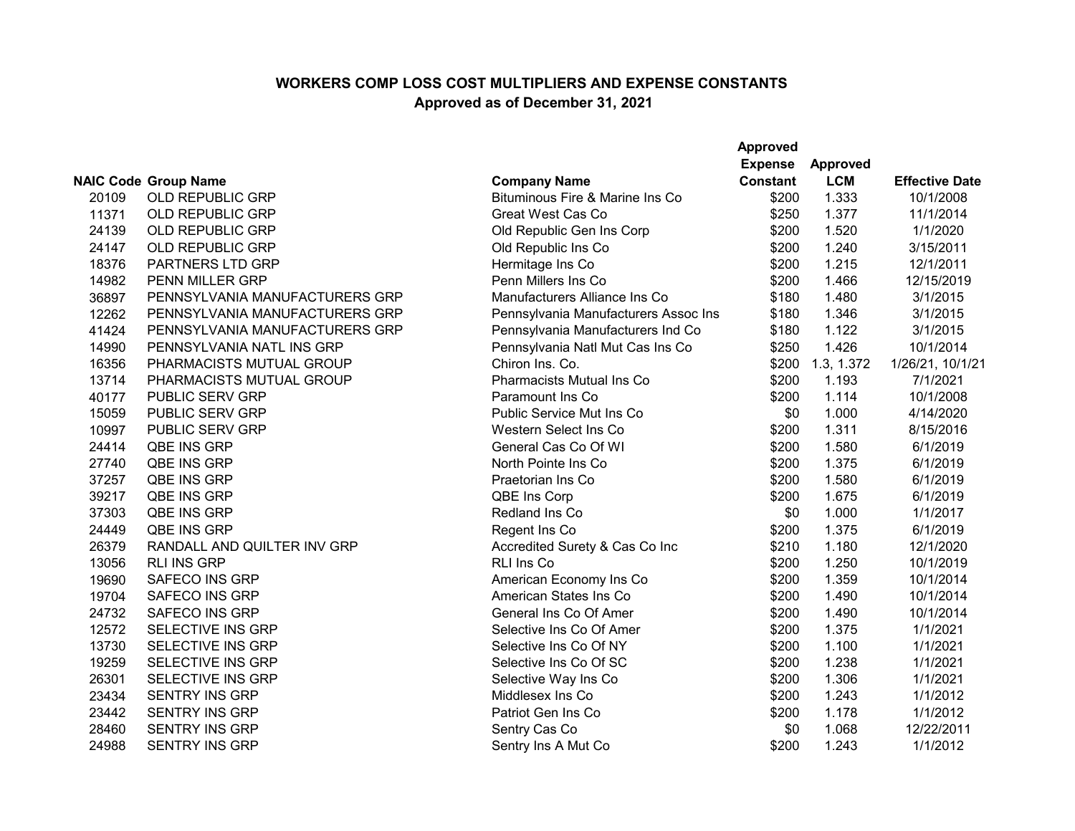|       |                                |                                      | <b>Approved</b> |            |                       |
|-------|--------------------------------|--------------------------------------|-----------------|------------|-----------------------|
|       |                                |                                      | <b>Expense</b>  | Approved   |                       |
|       | <b>NAIC Code Group Name</b>    | <b>Company Name</b>                  | <b>Constant</b> | <b>LCM</b> | <b>Effective Date</b> |
| 20109 | <b>OLD REPUBLIC GRP</b>        | Bituminous Fire & Marine Ins Co      | \$200           | 1.333      | 10/1/2008             |
| 11371 | <b>OLD REPUBLIC GRP</b>        | Great West Cas Co                    | \$250           | 1.377      | 11/1/2014             |
| 24139 | OLD REPUBLIC GRP               | Old Republic Gen Ins Corp            | \$200           | 1.520      | 1/1/2020              |
| 24147 | <b>OLD REPUBLIC GRP</b>        | Old Republic Ins Co                  | \$200           | 1.240      | 3/15/2011             |
| 18376 | PARTNERS LTD GRP               | Hermitage Ins Co                     | \$200           | 1.215      | 12/1/2011             |
| 14982 | PENN MILLER GRP                | Penn Millers Ins Co                  | \$200           | 1.466      | 12/15/2019            |
| 36897 | PENNSYLVANIA MANUFACTURERS GRP | Manufacturers Alliance Ins Co        | \$180           | 1.480      | 3/1/2015              |
| 12262 | PENNSYLVANIA MANUFACTURERS GRP | Pennsylvania Manufacturers Assoc Ins | \$180           | 1.346      | 3/1/2015              |
| 41424 | PENNSYLVANIA MANUFACTURERS GRP | Pennsylvania Manufacturers Ind Co    | \$180           | 1.122      | 3/1/2015              |
| 14990 | PENNSYLVANIA NATL INS GRP      | Pennsylvania Natl Mut Cas Ins Co     | \$250           | 1.426      | 10/1/2014             |
| 16356 | PHARMACISTS MUTUAL GROUP       | Chiron Ins. Co.                      | \$200           | 1.3, 1.372 | 1/26/21, 10/1/21      |
| 13714 | PHARMACISTS MUTUAL GROUP       | <b>Pharmacists Mutual Ins Co</b>     | \$200           | 1.193      | 7/1/2021              |
| 40177 | PUBLIC SERV GRP                | Paramount Ins Co                     | \$200           | 1.114      | 10/1/2008             |
| 15059 | PUBLIC SERV GRP                | Public Service Mut Ins Co            | \$0             | 1.000      | 4/14/2020             |
| 10997 | PUBLIC SERV GRP                | Western Select Ins Co                | \$200           | 1.311      | 8/15/2016             |
| 24414 | QBE INS GRP                    | General Cas Co Of WI                 | \$200           | 1.580      | 6/1/2019              |
| 27740 | QBE INS GRP                    | North Pointe Ins Co                  | \$200           | 1.375      | 6/1/2019              |
| 37257 | QBE INS GRP                    | Praetorian Ins Co                    | \$200           | 1.580      | 6/1/2019              |
| 39217 | QBE INS GRP                    | QBE Ins Corp                         | \$200           | 1.675      | 6/1/2019              |
| 37303 | QBE INS GRP                    | Redland Ins Co                       | \$0             | 1.000      | 1/1/2017              |
| 24449 | QBE INS GRP                    | Regent Ins Co                        | \$200           | 1.375      | 6/1/2019              |
| 26379 | RANDALL AND QUILTER INV GRP    | Accredited Surety & Cas Co Inc       | \$210           | 1.180      | 12/1/2020             |
| 13056 | <b>RLI INS GRP</b>             | <b>RLI Ins Co</b>                    | \$200           | 1.250      | 10/1/2019             |
| 19690 | <b>SAFECO INS GRP</b>          | American Economy Ins Co              | \$200           | 1.359      | 10/1/2014             |
| 19704 | <b>SAFECO INS GRP</b>          | American States Ins Co               | \$200           | 1.490      | 10/1/2014             |
| 24732 | <b>SAFECO INS GRP</b>          | General Ins Co Of Amer               | \$200           | 1.490      | 10/1/2014             |
| 12572 | SELECTIVE INS GRP              | Selective Ins Co Of Amer             | \$200           | 1.375      | 1/1/2021              |
| 13730 | SELECTIVE INS GRP              | Selective Ins Co Of NY               | \$200           | 1.100      | 1/1/2021              |
| 19259 | <b>SELECTIVE INS GRP</b>       | Selective Ins Co Of SC               | \$200           | 1.238      | 1/1/2021              |
| 26301 | SELECTIVE INS GRP              | Selective Way Ins Co                 | \$200           | 1.306      | 1/1/2021              |
| 23434 | <b>SENTRY INS GRP</b>          | Middlesex Ins Co                     | \$200           | 1.243      | 1/1/2012              |
| 23442 | <b>SENTRY INS GRP</b>          | Patriot Gen Ins Co                   | \$200           | 1.178      | 1/1/2012              |
| 28460 | <b>SENTRY INS GRP</b>          | Sentry Cas Co                        | \$0             | 1.068      | 12/22/2011            |
| 24988 | <b>SENTRY INS GRP</b>          | Sentry Ins A Mut Co                  | \$200           | 1.243      | 1/1/2012              |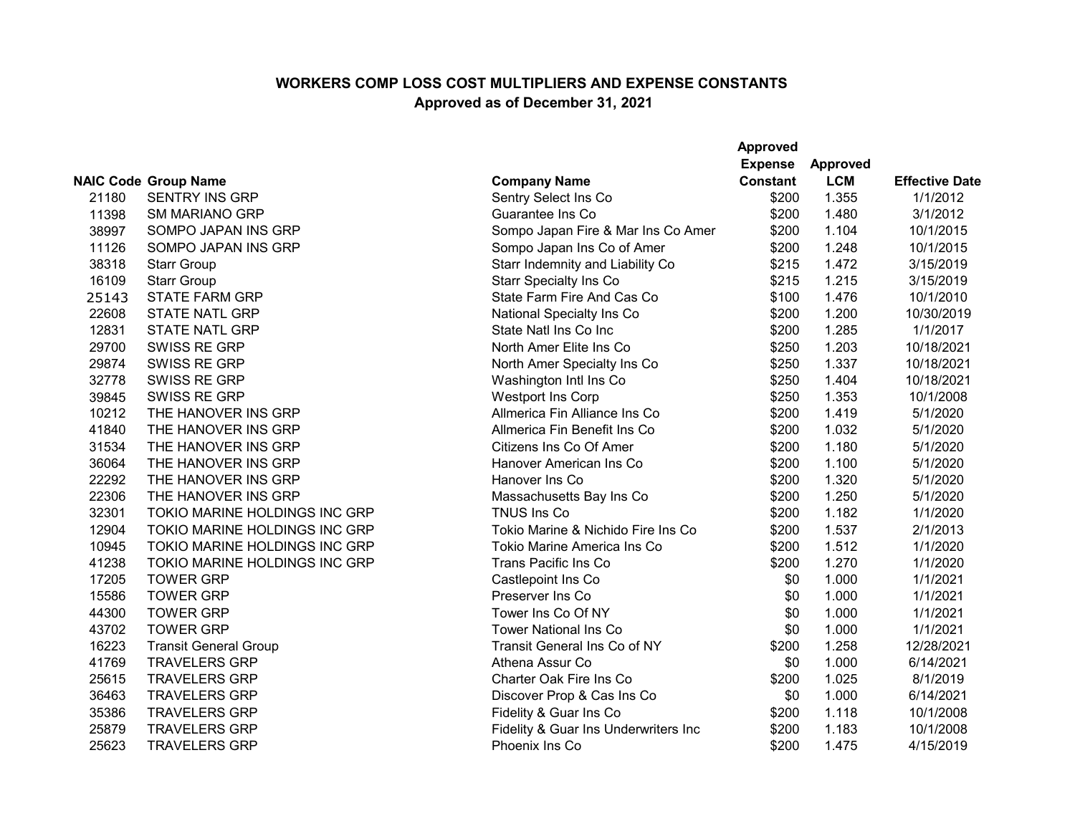|       |                               |                                      | <b>Approved</b><br><b>Expense</b> | <b>Approved</b> |                       |
|-------|-------------------------------|--------------------------------------|-----------------------------------|-----------------|-----------------------|
|       | <b>NAIC Code Group Name</b>   | <b>Company Name</b>                  | <b>Constant</b>                   | <b>LCM</b>      | <b>Effective Date</b> |
| 21180 | <b>SENTRY INS GRP</b>         | Sentry Select Ins Co                 | \$200                             | 1.355           | 1/1/2012              |
| 11398 | <b>SM MARIANO GRP</b>         | Guarantee Ins Co                     | \$200                             | 1.480           | 3/1/2012              |
| 38997 | SOMPO JAPAN INS GRP           | Sompo Japan Fire & Mar Ins Co Amer   | \$200                             | 1.104           | 10/1/2015             |
| 11126 | SOMPO JAPAN INS GRP           | Sompo Japan Ins Co of Amer           | \$200                             | 1.248           | 10/1/2015             |
| 38318 | <b>Starr Group</b>            | Starr Indemnity and Liability Co     | \$215                             | 1.472           | 3/15/2019             |
| 16109 | <b>Starr Group</b>            | <b>Starr Specialty Ins Co</b>        | \$215                             | 1.215           | 3/15/2019             |
| 25143 | <b>STATE FARM GRP</b>         | State Farm Fire And Cas Co           | \$100                             | 1.476           | 10/1/2010             |
| 22608 | <b>STATE NATL GRP</b>         | National Specialty Ins Co            | \$200                             | 1.200           | 10/30/2019            |
| 12831 | <b>STATE NATL GRP</b>         | State Natl Ins Co Inc                | \$200                             | 1.285           | 1/1/2017              |
| 29700 | SWISS RE GRP                  | North Amer Elite Ins Co              | \$250                             | 1.203           | 10/18/2021            |
| 29874 | SWISS RE GRP                  | North Amer Specialty Ins Co          | \$250                             | 1.337           | 10/18/2021            |
| 32778 | SWISS RE GRP                  | Washington Intl Ins Co               | \$250                             | 1.404           | 10/18/2021            |
| 39845 | SWISS RE GRP                  | <b>Westport Ins Corp</b>             | \$250                             | 1.353           | 10/1/2008             |
| 10212 | THE HANOVER INS GRP           | Allmerica Fin Alliance Ins Co        | \$200                             | 1.419           | 5/1/2020              |
| 41840 | THE HANOVER INS GRP           | Allmerica Fin Benefit Ins Co         | \$200                             | 1.032           | 5/1/2020              |
| 31534 | THE HANOVER INS GRP           | Citizens Ins Co Of Amer              | \$200                             | 1.180           | 5/1/2020              |
| 36064 | THE HANOVER INS GRP           | Hanover American Ins Co              | \$200                             | 1.100           | 5/1/2020              |
| 22292 | THE HANOVER INS GRP           | Hanover Ins Co                       | \$200                             | 1.320           | 5/1/2020              |
| 22306 | THE HANOVER INS GRP           | Massachusetts Bay Ins Co             | \$200                             | 1.250           | 5/1/2020              |
| 32301 | TOKIO MARINE HOLDINGS INC GRP | <b>TNUS Ins Co</b>                   | \$200                             | 1.182           | 1/1/2020              |
| 12904 | TOKIO MARINE HOLDINGS INC GRP | Tokio Marine & Nichido Fire Ins Co   | \$200                             | 1.537           | 2/1/2013              |
| 10945 | TOKIO MARINE HOLDINGS INC GRP | Tokio Marine America Ins Co          | \$200                             | 1.512           | 1/1/2020              |
| 41238 | TOKIO MARINE HOLDINGS INC GRP | Trans Pacific Ins Co                 | \$200                             | 1.270           | 1/1/2020              |
| 17205 | <b>TOWER GRP</b>              | Castlepoint Ins Co                   | \$0                               | 1.000           | 1/1/2021              |
| 15586 | <b>TOWER GRP</b>              | Preserver Ins Co                     | \$0                               | 1.000           | 1/1/2021              |
| 44300 | <b>TOWER GRP</b>              | Tower Ins Co Of NY                   | \$0                               | 1.000           | 1/1/2021              |
| 43702 | <b>TOWER GRP</b>              | <b>Tower National Ins Co</b>         | \$0                               | 1.000           | 1/1/2021              |
| 16223 | <b>Transit General Group</b>  | Transit General Ins Co of NY         | \$200                             | 1.258           | 12/28/2021            |
| 41769 | <b>TRAVELERS GRP</b>          | Athena Assur Co                      | \$0                               | 1.000           | 6/14/2021             |
| 25615 | <b>TRAVELERS GRP</b>          | Charter Oak Fire Ins Co              | \$200                             | 1.025           | 8/1/2019              |
| 36463 | <b>TRAVELERS GRP</b>          | Discover Prop & Cas Ins Co           | \$0                               | 1.000           | 6/14/2021             |
| 35386 | <b>TRAVELERS GRP</b>          | Fidelity & Guar Ins Co               | \$200                             | 1.118           | 10/1/2008             |
| 25879 | <b>TRAVELERS GRP</b>          | Fidelity & Guar Ins Underwriters Inc | \$200                             | 1.183           | 10/1/2008             |
| 25623 | <b>TRAVELERS GRP</b>          | Phoenix Ins Co                       | \$200                             | 1.475           | 4/15/2019             |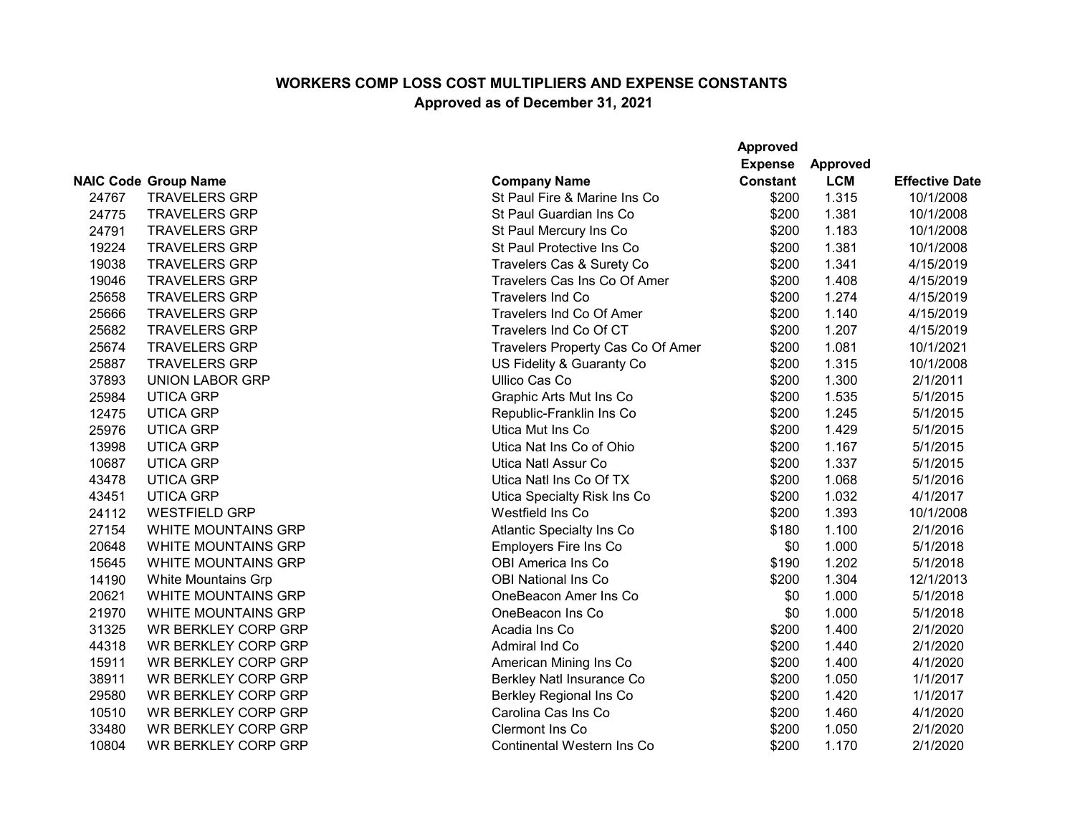|       |                             |                                   | Approved<br><b>Expense</b> | <b>Approved</b> |                       |
|-------|-----------------------------|-----------------------------------|----------------------------|-----------------|-----------------------|
|       | <b>NAIC Code Group Name</b> | <b>Company Name</b>               | <b>Constant</b>            | <b>LCM</b>      | <b>Effective Date</b> |
| 24767 | <b>TRAVELERS GRP</b>        | St Paul Fire & Marine Ins Co      | \$200                      | 1.315           | 10/1/2008             |
| 24775 | <b>TRAVELERS GRP</b>        | St Paul Guardian Ins Co           | \$200                      | 1.381           | 10/1/2008             |
| 24791 | <b>TRAVELERS GRP</b>        | St Paul Mercury Ins Co            | \$200                      | 1.183           | 10/1/2008             |
| 19224 | <b>TRAVELERS GRP</b>        | St Paul Protective Ins Co         | \$200                      | 1.381           | 10/1/2008             |
| 19038 | <b>TRAVELERS GRP</b>        | Travelers Cas & Surety Co         | \$200                      | 1.341           | 4/15/2019             |
| 19046 | <b>TRAVELERS GRP</b>        | Travelers Cas Ins Co Of Amer      | \$200                      | 1.408           | 4/15/2019             |
| 25658 | <b>TRAVELERS GRP</b>        | Travelers Ind Co                  | \$200                      | 1.274           | 4/15/2019             |
| 25666 | <b>TRAVELERS GRP</b>        | Travelers Ind Co Of Amer          | \$200                      | 1.140           | 4/15/2019             |
| 25682 | <b>TRAVELERS GRP</b>        | Travelers Ind Co Of CT            | \$200                      | 1.207           | 4/15/2019             |
| 25674 | <b>TRAVELERS GRP</b>        | Travelers Property Cas Co Of Amer | \$200                      | 1.081           | 10/1/2021             |
| 25887 | <b>TRAVELERS GRP</b>        | US Fidelity & Guaranty Co         | \$200                      | 1.315           | 10/1/2008             |
| 37893 | <b>UNION LABOR GRP</b>      | <b>Ullico Cas Co</b>              | \$200                      | 1.300           | 2/1/2011              |
| 25984 | <b>UTICA GRP</b>            | Graphic Arts Mut Ins Co           | \$200                      | 1.535           | 5/1/2015              |
| 12475 | <b>UTICA GRP</b>            | Republic-Franklin Ins Co          | \$200                      | 1.245           | 5/1/2015              |
| 25976 | <b>UTICA GRP</b>            | Utica Mut Ins Co                  | \$200                      | 1.429           | 5/1/2015              |
| 13998 | <b>UTICA GRP</b>            | Utica Nat Ins Co of Ohio          | \$200                      | 1.167           | 5/1/2015              |
| 10687 | <b>UTICA GRP</b>            | Utica Natl Assur Co               | \$200                      | 1.337           | 5/1/2015              |
| 43478 | <b>UTICA GRP</b>            | Utica Natl Ins Co Of TX           | \$200                      | 1.068           | 5/1/2016              |
| 43451 | <b>UTICA GRP</b>            | Utica Specialty Risk Ins Co       | \$200                      | 1.032           | 4/1/2017              |
| 24112 | <b>WESTFIELD GRP</b>        | Westfield Ins Co                  | \$200                      | 1.393           | 10/1/2008             |
| 27154 | <b>WHITE MOUNTAINS GRP</b>  | Atlantic Specialty Ins Co         | \$180                      | 1.100           | 2/1/2016              |
| 20648 | <b>WHITE MOUNTAINS GRP</b>  | Employers Fire Ins Co             | \$0                        | 1.000           | 5/1/2018              |
| 15645 | <b>WHITE MOUNTAINS GRP</b>  | <b>OBI America Ins Co</b>         | \$190                      | 1.202           | 5/1/2018              |
| 14190 | <b>White Mountains Grp</b>  | <b>OBI National Ins Co</b>        | \$200                      | 1.304           | 12/1/2013             |
| 20621 | <b>WHITE MOUNTAINS GRP</b>  | OneBeacon Amer Ins Co             | \$0                        | 1.000           | 5/1/2018              |
| 21970 | <b>WHITE MOUNTAINS GRP</b>  | OneBeacon Ins Co                  | \$0                        | 1.000           | 5/1/2018              |
| 31325 | <b>WR BERKLEY CORP GRP</b>  | Acadia Ins Co                     | \$200                      | 1.400           | 2/1/2020              |
| 44318 | <b>WR BERKLEY CORP GRP</b>  | Admiral Ind Co                    | \$200                      | 1.440           | 2/1/2020              |
| 15911 | <b>WR BERKLEY CORP GRP</b>  | American Mining Ins Co            | \$200                      | 1.400           | 4/1/2020              |
| 38911 | <b>WR BERKLEY CORP GRP</b>  | Berkley Natl Insurance Co         | \$200                      | 1.050           | 1/1/2017              |
| 29580 | <b>WR BERKLEY CORP GRP</b>  | <b>Berkley Regional Ins Co</b>    | \$200                      | 1.420           | 1/1/2017              |
| 10510 | <b>WR BERKLEY CORP GRP</b>  | Carolina Cas Ins Co               | \$200                      | 1.460           | 4/1/2020              |
| 33480 | <b>WR BERKLEY CORP GRP</b>  | Clermont Ins Co                   | \$200                      | 1.050           | 2/1/2020              |
| 10804 | <b>WR BERKLEY CORP GRP</b>  | Continental Western Ins Co        | \$200                      | 1.170           | 2/1/2020              |